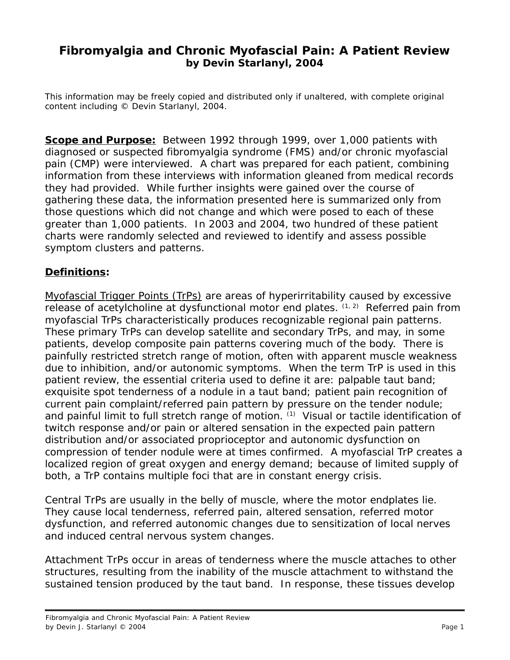# **Fibromyalgia and Chronic Myofascial Pain: A Patient Review by Devin Starlanyl, 2004**

This information may be freely copied and distributed only if unaltered, with complete original content including © Devin Starlanyl, 2004.

**Scope and Purpose:** Between 1992 through 1999, over 1,000 patients with diagnosed or suspected fibromyalgia syndrome (FMS) and/or chronic myofascial pain (CMP) were interviewed. A chart was prepared for each patient, combining information from these interviews with information gleaned from medical records they had provided. While further insights were gained over the course of gathering these data, the information presented here is summarized only from those questions which did not change and which were posed to each of these greater than 1,000 patients. In 2003 and 2004, two hundred of these patient charts were randomly selected and reviewed to identify and assess possible symptom clusters and patterns.

# **Definitions:**

Myofascial Trigger Points (TrPs) are areas of hyperirritability caused by excessive release of acetylcholine at dysfunctional motor end plates.  $(1, 2)$  Referred pain from myofascial TrPs characteristically produces recognizable regional pain patterns. These primary TrPs can develop satellite and secondary TrPs, and may, in some patients, develop composite pain patterns covering much of the body. There is painfully restricted stretch range of motion, often with apparent muscle weakness due to inhibition, and/or autonomic symptoms. When the term TrP is used in this patient review, the essential criteria used to define it are: palpable taut band; exquisite spot tenderness of a nodule in a taut band; patient pain recognition of current pain complaint/referred pain pattern by pressure on the tender nodule; and painful limit to full stretch range of motion. (1) Visual or tactile identification of twitch response and/or pain or altered sensation in the expected pain pattern distribution and/or associated proprioceptor and autonomic dysfunction on compression of tender nodule were at times confirmed. A myofascial TrP creates a localized region of great oxygen and energy demand; because of limited supply of both, a TrP contains multiple foci that are in constant energy crisis.

*Central TrPs* are usually in the belly of muscle, where the motor endplates lie. They cause local tenderness, referred pain, altered sensation, referred motor dysfunction, and referred autonomic changes due to sensitization of local nerves and induced central nervous system changes.

*Attachment TrPs* occur in areas of tenderness where the muscle attaches to other structures, resulting from the inability of the muscle attachment to withstand the sustained tension produced by the taut band. In response, these tissues develop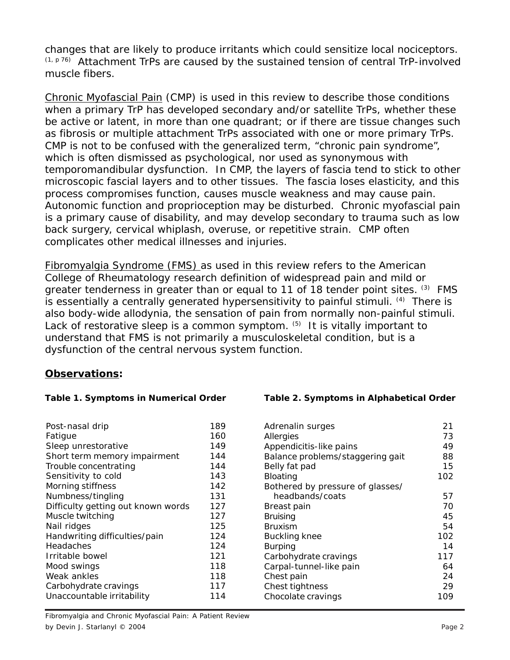changes that are likely to produce irritants which could sensitize local nociceptors.  $(1, p 76)$  Attachment TrPs are caused by the sustained tension of central TrP-involved muscle fibers.

Chronic Myofascial Pain (CMP) is used in this review to describe those conditions when a primary TrP has developed secondary and/or satellite TrPs, whether these be active or latent, in more than one quadrant; or if there are tissue changes such as fibrosis or multiple attachment TrPs associated with one or more primary TrPs. CMP is not to be confused with the generalized term, "chronic pain syndrome", which is often dismissed as psychological, nor used as synonymous with temporomandibular dysfunction. In CMP, the layers of fascia tend to stick to other microscopic fascial layers and to other tissues. The fascia loses elasticity, and this process compromises function, causes muscle weakness and may cause pain. Autonomic function and proprioception may be disturbed. Chronic myofascial pain is a primary cause of disability, and may develop secondary to trauma such as low back surgery, cervical whiplash, overuse, or repetitive strain. CMP often complicates other medical illnesses and injuries.

Fibromyalgia Syndrome (FMS) as used in this review refers to the American College of Rheumatology research definition of widespread pain and mild or greater tenderness in greater than or equal to 11 of 18 tender point sites. (3) FMS is essentially a centrally generated hypersensitivity to painful stimuli. <sup>(4)</sup> There is also body-wide allodynia, the sensation of pain from normally non-painful stimuli. Lack of restorative sleep is a common symptom. (5) It is vitally important to understand that FMS is not primarily a musculoskeletal condition, but is a dysfunction of the central nervous system function.

## **Observations:**

| Post-nasal drip                    | 189 |
|------------------------------------|-----|
| Fatigue                            | 160 |
| Sleep unrestorative                | 149 |
| Short term memory impairment       | 144 |
| Trouble concentrating              | 144 |
| Sensitivity to cold                | 143 |
| Morning stiffness                  | 142 |
| Numbness/tingling                  | 131 |
| Difficulty getting out known words | 127 |
| Muscle twitching                   | 127 |
| Nail ridges                        | 125 |
| Handwriting difficulties/pain      | 124 |
| Headaches                          | 124 |
| Irritable bowel                    | 121 |
| Mood swings                        | 118 |
| Weak ankles                        | 118 |
| Carbohydrate cravings              | 117 |
| Unaccountable irritability         | 114 |

### Table 2. Symptoms in Alphabetical Order

| Adrenalin surges                 | 21  |
|----------------------------------|-----|
| Allergies                        | 73  |
| Appendicitis-like pains          | 49  |
| Balance problems/staggering gait | 88  |
| Belly fat pad                    | 15  |
| <b>Bloating</b>                  | 102 |
| Bothered by pressure of glasses/ |     |
| headbands/coats                  | 57  |
| Breast pain                      | 70  |
| <b>Bruising</b>                  | 45  |
| <b>Bruxism</b>                   | 54  |
| <b>Buckling knee</b>             | 102 |
| <b>Burping</b>                   | 14  |
| Carbohydrate cravings            | 117 |
| Carpal-tunnel-like pain          | 64  |
| Chest pain                       | 24  |
| Chest tightness                  | 29  |
| Chocolate cravings               | 109 |
|                                  |     |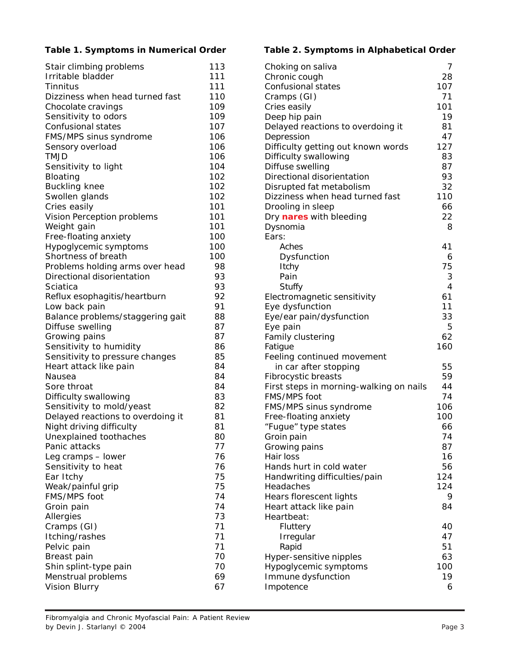| Stair climbing problems           | 113 |
|-----------------------------------|-----|
| Irritable bladder                 | 111 |
| Tinnitus                          | 111 |
| Dizziness when head turned fast   | 110 |
| Chocolate cravings                | 109 |
| Sensitivity to odors              | 109 |
| Confusional states                | 107 |
| FMS/MPS sinus syndrome            | 106 |
| Sensory overload                  | 106 |
| <b>TMJD</b>                       | 106 |
| Sensitivity to light              | 104 |
| Bloating                          | 102 |
|                                   |     |
| <b>Buckling knee</b>              | 102 |
| Swollen glands                    | 102 |
| Cries easily                      | 101 |
| Vision Perception problems        | 101 |
| Weight gain                       | 101 |
| Free-floating anxiety             | 100 |
| Hypoglycemic symptoms             | 100 |
| Shortness of breath               | 100 |
| Problems holding arms over head   | 98  |
| Directional disorientation        | 93  |
| Sciatica                          | 93  |
| Reflux esophagitis/heartburn      | 92  |
| Low back pain                     | 91  |
| Balance problems/staggering gait  | 88  |
| Diffuse swelling                  | 87  |
| Growing pains                     | 87  |
| Sensitivity to humidity           | 86  |
| Sensitivity to pressure changes   | 85  |
| Heart attack like pain            | 84  |
| Nausea                            | 84  |
| Sore throat                       | 84  |
| Difficulty swallowing             | 83  |
| Sensitivity to mold/yeast         | 82  |
| Delayed reactions to overdoing it | 81  |
| Night driving difficulty          | 81  |
|                                   |     |
| Unexplained toothaches            | 80  |
| Panic attacks                     | 77  |
| Leg cramps - lower                | 76  |
| Sensitivity to heat               | 76  |
| Ear Itchy                         | 75  |
| Weak/painful grip                 | 75  |
| FMS/MPS foot                      | 74  |
| Groin pain                        | 74  |
| Allergies                         | 73  |
| Cramps (GI)                       | 71  |
| Itching/rashes                    | 71  |
| Pelvic pain                       | 71  |
| Breast pain                       | 70  |
| Shin splint-type pain             | 70  |
| Menstrual problems                | 69  |
| Vision Blurry                     | 67  |
|                                   |     |

### **Table 1. Symptoms in Numerical Order Table 2. Symptoms in Alphabetical Order**

| Choking on saliva                       | 7              |
|-----------------------------------------|----------------|
| Chronic cough                           | 28             |
| Confusional states                      | 107            |
| Cramps (GI)                             | 71             |
| Cries easily                            | 101            |
| Deep hip pain                           | 19             |
| Delayed reactions to overdoing it       | 81             |
| Depression                              | 47             |
| Difficulty getting out known words      | 127            |
| Difficulty swallowing                   | 83             |
| Diffuse swelling                        | 87             |
| Directional disorientation              | 93             |
| Disrupted fat metabolism                | 32             |
| Dizziness when head turned fast         | 110            |
| Drooling in sleep                       | 66             |
| Dry nares with bleeding                 | 22             |
| Dysnomia                                | 8              |
| Ears:                                   |                |
| Aches                                   | 41             |
| Dysfunction                             | 6              |
| Itchy                                   | 75             |
| Pain                                    | 3              |
| Stuffy                                  | $\overline{4}$ |
| Electromagnetic sensitivity             | 61             |
| Eye dysfunction                         | 11             |
| Eye/ear pain/dysfunction                | 33             |
| Eye pain                                | 5              |
| Family clustering                       | 62             |
| Fatigue                                 | 160            |
| Feeling continued movement              |                |
| in car after stopping                   | 55             |
| Fibrocystic breasts                     | 59             |
| First steps in morning-walking on nails | 44             |
| FMS/MPS foot                            | 74             |
| FMS/MPS sinus syndrome                  | 106            |
| Free-floating anxiety                   | 100            |
| "Fugue" type states                     | 66             |
| Groin pain                              | 74             |
| Growing pains                           | 87             |
| Hair loss                               | 16             |
| Hands hurt in cold water                | 56             |
| Handwriting difficulties/pain           | 124            |
| Headaches                               | 124            |
| Hears florescent lights                 | 9              |
| Heart attack like pain                  | 84             |
| Heartbeat:                              |                |
| Fluttery                                | 40             |
|                                         | 47             |
| Irregular<br>Rapid                      | 51             |
|                                         | 63             |
| Hyper-sensitive nipples                 | 100            |
| Hypoglycemic symptoms                   |                |
| Immune dysfunction                      | 19             |
| Impotence                               | 6              |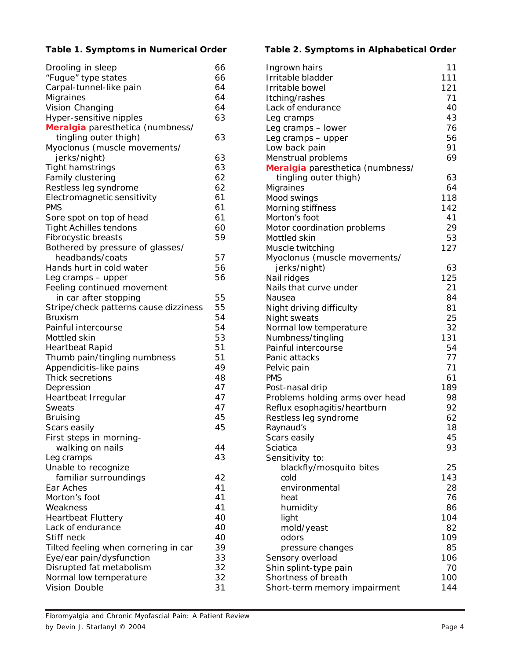| Drooling in sleep                     | 66 |
|---------------------------------------|----|
| "Fugue" type states                   | 66 |
| Carpal-tunnel-like pain               | 64 |
| Migraines                             | 64 |
| Vision Changing                       | 64 |
| Hyper-sensitive nipples               | 63 |
| Meralgia paresthetica (numbness/      |    |
| tingling outer thigh)                 | 63 |
| Myoclonus (muscle movements/          |    |
| jerks/night)                          | 63 |
| Tight hamstrings                      | 63 |
| Family clustering                     | 62 |
| Restless leg syndrome                 | 62 |
| Electromagnetic sensitivity           | 61 |
| <b>PMS</b>                            | 61 |
| Sore spot on top of head              | 61 |
| <b>Tight Achilles tendons</b>         | 60 |
| Fibrocystic breasts                   | 59 |
| Bothered by pressure of glasses/      |    |
| headbands/coats                       | 57 |
| Hands hurt in cold water              | 56 |
| Leg cramps - upper                    | 56 |
| Feeling continued movement            |    |
| in car after stopping                 | 55 |
| Stripe/check patterns cause dizziness | 55 |
| <b>Bruxism</b>                        | 54 |
| Painful intercourse                   | 54 |
| Mottled skin                          | 53 |
| <b>Heartbeat Rapid</b>                | 51 |
| Thumb pain/tingling numbness          | 51 |
| Appendicitis-like pains               | 49 |
| Thick secretions                      | 48 |
| Depression                            | 47 |
| Heartbeat Irregular                   | 47 |
| <b>Sweats</b>                         | 47 |
| <b>Bruising</b>                       | 45 |
| Scars easily                          | 45 |
| First steps in morning-               |    |
| walking on nails                      | 44 |
| Leg cramps                            | 43 |
| Unable to recognize                   |    |
| familiar surroundings                 | 42 |
| Ear Aches                             | 41 |
| Morton's foot                         | 41 |
| Weakness                              | 41 |
| <b>Heartbeat Fluttery</b>             | 40 |
| Lack of endurance                     | 40 |
| Stiff neck                            | 40 |
| Tilted feeling when cornering in car  | 39 |
| Eye/ear pain/dysfunction              | 33 |
| Disrupted fat metabolism              | 32 |
| Normal low temperature                | 32 |
| Vision Double                         | 31 |
|                                       |    |

### **Table 1. Symptoms in Numerical Order Table 2. Symptoms in Alphabetical Order**

| Ingrown hairs                        | 11        |
|--------------------------------------|-----------|
| Irritable bladder                    | 111       |
| Irritable bowel                      | 121       |
| Itching/rashes                       | 71        |
| Lack of endurance                    | 40        |
| Leg cramps                           | 43        |
| Leg cramps - lower                   | 76        |
| Leg cramps - upper                   | 56        |
| Low back pain                        | 91        |
| Menstrual problems                   | 69        |
| Meralgia paresthetica (numbness/     |           |
| tingling outer thigh)                | 63        |
| Migraines                            | 64        |
| Mood swings                          | 118       |
| Morning stiffness                    | 142       |
| Morton's foot                        | 41        |
| Motor coordination problems          | 29        |
| Mottled skin                         | 53        |
| Muscle twitching                     | 127       |
| Myoclonus (muscle movements/         |           |
| jerks/night)                         | 63        |
| Nail ridges                          | 125       |
| Nails that curve under               | 21        |
| Nausea                               | 84        |
| Night driving difficulty             | 81        |
| Night sweats                         | 25        |
| Normal low temperature               | 32<br>131 |
| Numbness/tingling                    | 54        |
| Painful intercourse<br>Panic attacks | 77        |
|                                      | 71        |
| Pelvic pain<br><b>PMS</b>            | 61        |
| Post-nasal drip                      | 189       |
| Problems holding arms over head      | 98        |
| Reflux esophagitis/heartburn         | 92        |
| Restless leg syndrome                | 62        |
| Raynaud's                            | 18        |
| Scars easily                         | 45        |
| Sciatica                             | 93        |
| Sensitivity to:                      |           |
| blackfly/mosquito bites              | 25        |
| cold                                 | 143       |
| environmental                        | 28        |
| heat                                 | 76        |
| humidity                             | 86        |
| light                                | 104       |
| mold/yeast                           | 82        |
| odors                                | 109       |
| pressure changes                     | 85        |
| Sensory overload                     | 106       |
| Shin splint-type pain                | 70        |
| Shortness of breath                  | 100       |
| Short-term memory impairment         | 144       |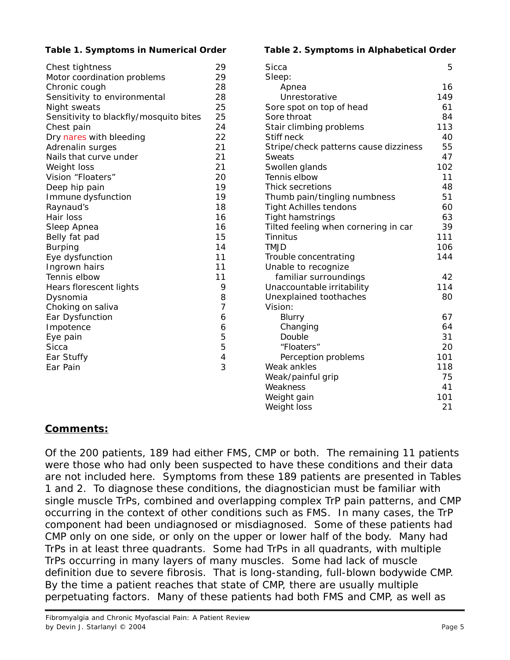| Chest tightness                        | 29             |
|----------------------------------------|----------------|
| Motor coordination problems            | 29             |
| Chronic cough                          | 28             |
| Sensitivity to environmental           | 28             |
| Night sweats                           | 25             |
| Sensitivity to blackfly/mosquito bites | 25             |
| Chest pain                             | 24             |
| Dry nares with bleeding                | 22             |
| Adrenalin surges                       | 21             |
| Nails that curve under                 | 21             |
| Weight loss                            | 21             |
| Vision "Floaters"                      | 20             |
| Deep hip pain                          | 19             |
| Immune dysfunction                     | 19             |
| Raynaud's                              | 18             |
| Hair loss                              | 16             |
| Sleep Apnea                            | 16             |
| Belly fat pad                          | 15             |
| <b>Burping</b>                         | 14             |
| Eye dysfunction                        | 11             |
| Ingrown hairs                          | 11             |
| Tennis elbow                           | 11             |
| Hears florescent lights                | 9              |
| Dysnomia                               | 8              |
| Choking on saliva                      | 7              |
| Ear Dysfunction                        | 6              |
| Impotence                              | 6              |
| Eye pain                               | 5              |
| Sicca                                  | 5              |
| Ear Stuffy                             | $\overline{4}$ |
| Ear Pain                               | 3              |
|                                        |                |
|                                        |                |

### **Table 1. Symptoms in Numerical Order Table 2. Symptoms in Alphabetical Order**

| Sicca                                 | 5   |
|---------------------------------------|-----|
| Sleep:                                |     |
| Apnea                                 | 16  |
| Unrestorative                         | 149 |
| Sore spot on top of head              | 61  |
| Sore throat                           | 84  |
| Stair climbing problems               | 113 |
| Stiff neck                            | 40  |
| Stripe/check patterns cause dizziness | 55  |
| Sweats                                | 47  |
| Swollen glands                        | 102 |
| Tennis elbow                          | 11  |
| Thick secretions                      | 48  |
| Thumb pain/tingling numbness          | 51  |
| <b>Tight Achilles tendons</b>         | 60  |
| <b>Tight hamstrings</b>               | 63  |
| Tilted feeling when cornering in car  | 39  |
| Tinnitus                              | 111 |
| <b>TMJD</b>                           | 106 |
| Trouble concentrating                 | 144 |
| Unable to recognize                   |     |
| familiar surroundings                 | 42  |
| Unaccountable irritability            | 114 |
| Unexplained toothaches                | 80  |
| Vision:                               |     |
| Blurry                                | 67  |
| Changing                              | 64  |
| Double                                | 31  |
| "Floaters"                            | 20  |
| Perception problems                   | 101 |
| Weak ankles                           | 118 |
| Weak/painful grip                     | 75  |
| Weakness                              | 41  |
| Weight gain                           | 101 |
| Weight loss                           | 21  |

# **Comments:**

Of the 200 patients, 189 had either FMS, CMP or both. The remaining 11 patients were those who had only been suspected to have these conditions and their data are not included here. Symptoms from these 189 patients are presented in Tables 1 and 2. To diagnose these conditions, the diagnostician must be familiar with single muscle TrPs, combined and overlapping complex TrP pain patterns, and CMP occurring in the context of other conditions such as FMS. In many cases, the TrP component had been undiagnosed or misdiagnosed. Some of these patients had CMP only on one side, or only on the upper or lower half of the body. Many had TrPs in at least three quadrants. Some had TrPs in all quadrants, with multiple TrPs occurring in many layers of many muscles. Some had lack of muscle definition due to severe fibrosis. That is long-standing, full-blown bodywide CMP. By the time a patient reaches that state of CMP, there are usually multiple perpetuating factors. Many of these patients had both FMS and CMP, as well as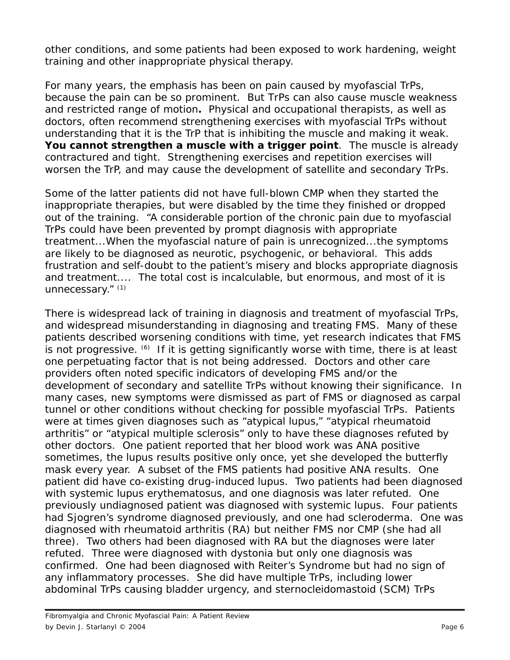other conditions, and some patients had been exposed to work hardening, weight training and other inappropriate physical therapy.

For many years, the emphasis has been on *pain* caused by myofascial TrPs, because the pain can be so prominent. *But TrPs can also cause muscle weakness and restricted range of motion***.** Physical and occupational therapists, as well as doctors, often recommend strengthening exercises with myofascial TrPs without understanding that it is the TrP that is inhibiting the muscle and making it weak. *You cannot strengthen a muscle with a trigger point*. The muscle is already contractured and tight. Strengthening exercises and repetition exercises will worsen the TrP, and may cause the development of satellite and secondary TrPs.

Some of the latter patients did not have full-blown CMP when they started the inappropriate therapies, but were disabled by the time they finished or dropped out of the training. "A considerable portion of the chronic pain due to myofascial TrPs could have been prevented by prompt diagnosis with appropriate treatment...When the myofascial nature of pain is unrecognized...the symptoms are likely to be diagnosed as neurotic, psychogenic, or behavioral. This adds frustration and self-doubt to the patient's misery and blocks appropriate diagnosis and treatment.... The total cost is incalculable, but enormous, and most of it is unnecessary." (1)

There is widespread lack of training in diagnosis and treatment of myofascial TrPs, and widespread misunderstanding in diagnosing and treating FMS. Many of these patients described worsening conditions with time, yet research indicates that FMS is not progressive.  $(6)$  If it is getting significantly worse with time, there is at least one perpetuating factor that is not being addressed. Doctors and other care providers often noted specific indicators of developing FMS and/or the development of secondary and satellite TrPs without knowing their significance. In many cases, new symptoms were dismissed as part of FMS or diagnosed as carpal tunnel or other conditions without checking for possible myofascial TrPs. Patients were at times given diagnoses such as "atypical lupus," "atypical rheumatoid arthritis" or "atypical multiple sclerosis" only to have these diagnoses refuted by other doctors. One patient reported that her blood work was ANA positive sometimes, the lupus results positive only once, yet she developed the butterfly mask every year. A subset of the FMS patients had positive ANA results. One patient did have co-existing drug-induced lupus. Two patients had been diagnosed with systemic lupus erythematosus, and one diagnosis was later refuted. One previously undiagnosed patient was diagnosed with systemic lupus. Four patients had Sjogren's syndrome diagnosed previously, and one had scleroderma. One was diagnosed with rheumatoid arthritis (RA) but neither FMS nor CMP (she had all three). Two others had been diagnosed with RA but the diagnoses were later refuted. Three were diagnosed with dystonia but only one diagnosis was confirmed. One had been diagnosed with Reiter's Syndrome but had no sign of any inflammatory processes. She did have multiple TrPs, including lower abdominal TrPs causing bladder urgency, and sternocleidomastoid (SCM) TrPs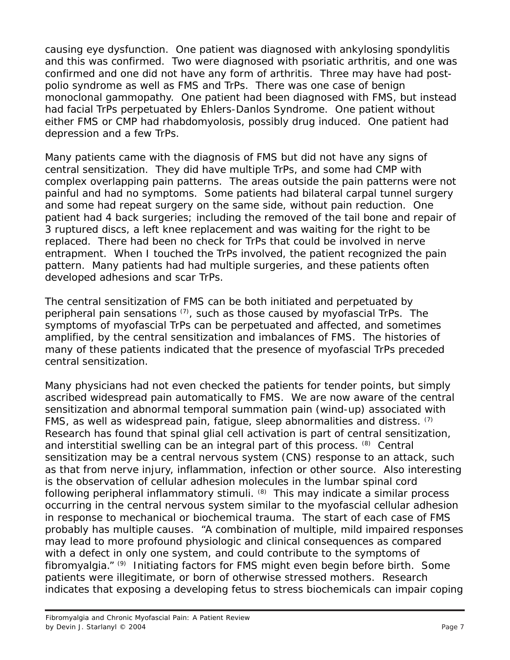causing eye dysfunction. One patient was diagnosed with ankylosing spondylitis and this was confirmed. Two were diagnosed with psoriatic arthritis, and one was confirmed and one did not have any form of arthritis. Three may have had postpolio syndrome as well as FMS and TrPs. There was one case of benign monoclonal gammopathy. One patient had been diagnosed with FMS, but instead had facial TrPs perpetuated by Ehlers-Danlos Syndrome. One patient without either FMS or CMP had rhabdomyolosis, possibly drug induced. One patient had depression and a few TrPs.

Many patients came with the diagnosis of FMS but did not have any signs of central sensitization. They did have multiple TrPs, and some had CMP with complex overlapping pain patterns. The areas outside the pain patterns were not painful and had no symptoms. Some patients had bilateral carpal tunnel surgery and some had repeat surgery on the same side, without pain reduction. One patient had 4 back surgeries; including the removed of the tail bone and repair of 3 ruptured discs, a left knee replacement and was waiting for the right to be replaced. There had been no check for TrPs that could be involved in nerve entrapment. When I touched the TrPs involved, the patient recognized the pain pattern. Many patients had had multiple surgeries, and these patients often developed adhesions and scar TrPs.

The central sensitization of FMS can be both *initiated* and *perpetuated* by peripheral pain sensations  $(7)$ , such as those caused by myofascial TrPs. The symptoms of myofascial TrPs can be perpetuated and affected, and sometimes amplified, by the central sensitization and imbalances of FMS. The histories of many of these patients indicated that the presence of myofascial TrPs preceded central sensitization.

Many physicians had not even checked the patients for tender points, but simply ascribed widespread pain automatically to FMS. We are now aware of the central sensitization and abnormal temporal summation pain (wind-up) associated with FMS, as well as widespread pain, fatigue, sleep abnormalities and distress. (7) Research has found that spinal glial cell activation is part of central sensitization, and interstitial swelling can be an integral part of this process. <sup>(8)</sup> Central sensitization may be a central nervous system (CNS) response to an attack, such as that from nerve injury, inflammation, infection or other source. Also interesting is the observation of cellular adhesion molecules in the lumbar spinal cord following peripheral inflammatory stimuli. (8) This may indicate a similar process occurring in the central nervous system similar to the myofascial cellular adhesion in response to mechanical or biochemical trauma. The start of each case of FMS probably has multiple causes. "A combination of multiple, mild impaired responses may lead to more profound physiologic and clinical consequences as compared with a defect in only one system, and could contribute to the symptoms of fibromyalgia." (9) Initiating factors for FMS might even begin before birth. Some patients were illegitimate, or born of otherwise stressed mothers. Research indicates that exposing a developing fetus to stress biochemicals can impair coping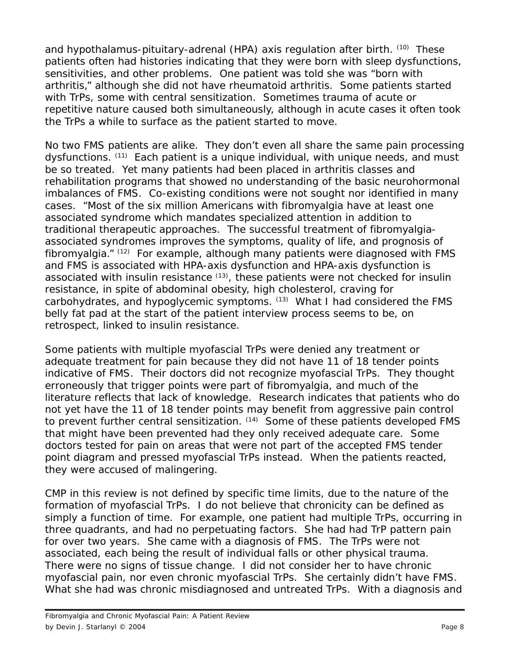and hypothalamus-pituitary-adrenal (HPA) axis regulation after birth. <sup>(10)</sup> These patients often had histories indicating that they were born with sleep dysfunctions, sensitivities, and other problems. One patient was told she was "born with arthritis," although she did not have rheumatoid arthritis. Some patients started with TrPs, some with central sensitization. Sometimes trauma of acute or repetitive nature caused both simultaneously, although in acute cases it often took the TrPs a while to surface as the patient started to move.

No two FMS patients are alike. They don't even all share the same pain processing dysfunctions. (11) Each patient is a unique individual, with unique needs, and must be so treated. Yet many patients had been placed in arthritis classes and rehabilitation programs that showed no understanding of the basic neurohormonal imbalances of FMS. Co-existing conditions were not sought nor identified in many cases. "Most of the six million Americans with fibromyalgia have at least one associated syndrome which mandates specialized attention in addition to traditional therapeutic approaches. The successful treatment of fibromyalgiaassociated syndromes improves the symptoms, quality of life, and prognosis of fibromyalgia." (12) For example, although many patients were diagnosed with FMS and FMS is associated with HPA-axis dysfunction and HPA-axis dysfunction is associated with insulin resistance (13), these patients were not checked for insulin resistance, in spite of abdominal obesity, high cholesterol, craving for carbohydrates, and hypoglycemic symptoms. (13) What I had considered the FMS belly fat pad at the start of the patient interview process seems to be, on retrospect, linked to insulin resistance.

Some patients with multiple myofascial TrPs were denied any treatment or adequate treatment for pain because they did not have 11 of 18 tender points indicative of FMS. Their doctors did not recognize myofascial TrPs. They thought erroneously that trigger points were part of fibromyalgia, and much of the literature reflects that lack of knowledge. Research indicates that patients who do not yet have the 11 of 18 tender points may benefit from *aggressive* pain control to *prevent* further central sensitization. <sup>(14)</sup> Some of these patients developed FMS that might have been prevented had they only received adequate care. Some doctors tested for pain on areas that were not part of the accepted FMS tender point diagram and pressed myofascial TrPs instead. When the patients reacted, they were accused of malingering.

CMP in this review is not defined by specific time limits, due to the nature of the formation of myofascial TrPs. I do not believe that chronicity can be defined as simply a function of time. For example, one patient had multiple TrPs, occurring in three quadrants, and had no perpetuating factors. She had had TrP pattern pain for over two years. She came with a diagnosis of FMS. The TrPs were not associated, each being the result of individual falls or other physical trauma. There were no signs of tissue change. I did not consider her to have chronic myofascial pain, nor even chronic myofascial TrPs. She certainly didn't have FMS. What she had was chronic misdiagnosed and untreated TrPs. With a diagnosis and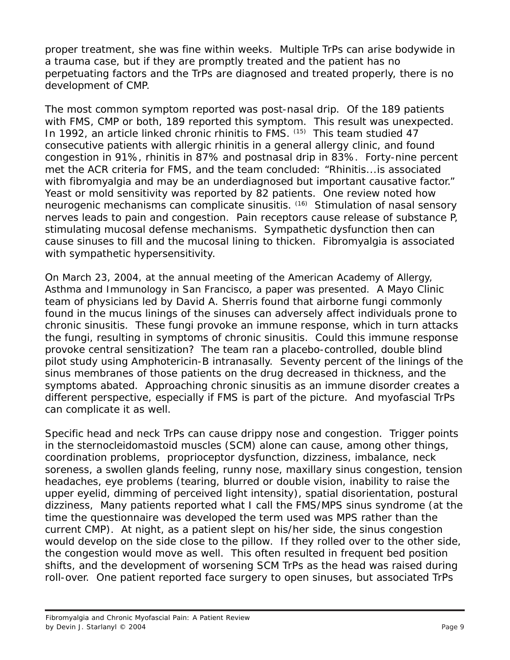proper treatment, she was fine within weeks. Multiple TrPs can arise bodywide in a trauma case, but if they are promptly treated and the patient has no perpetuating factors and the TrPs are diagnosed and treated properly, there is no development of CMP.

The most common symptom reported was post-nasal drip. Of the 189 patients with FMS, CMP or both, 189 reported this symptom. This result was unexpected. In 1992, an article linked chronic rhinitis to FMS. (15) This team studied 47 consecutive patients with allergic rhinitis in a general allergy clinic, and found congestion in 91%, rhinitis in 87% and postnasal drip in 83%. Forty-nine percent met the ACR criteria for FMS, and the team concluded: "Rhinitis...is associated with fibromyalgia and may be an underdiagnosed but important causative factor." Yeast or mold sensitivity was reported by 82 patients. One review noted how neurogenic mechanisms can complicate sinusitis. (16) Stimulation of nasal sensory nerves leads to pain and congestion. Pain receptors cause release of substance P, stimulating mucosal defense mechanisms. Sympathetic dysfunction then can cause sinuses to fill and the mucosal lining to thicken. Fibromyalgia is associated with sympathetic hypersensitivity.

On March 23, 2004, at the annual meeting of the American Academy of Allergy, Asthma and Immunology in San Francisco, a paper was presented. A Mayo Clinic team of physicians led by David A. Sherris found that airborne fungi commonly found in the mucus linings of the sinuses can adversely affect individuals prone to chronic sinusitis. These fungi provoke an immune response, which in turn attacks the fungi, resulting in symptoms of chronic sinusitis. Could this immune response provoke central sensitization? The team ran a placebo-controlled, double blind pilot study using Amphotericin-B intranasally. Seventy percent of the linings of the sinus membranes of those patients on the drug decreased in thickness, and the symptoms abated. Approaching chronic sinusitis as an immune disorder creates a different perspective, especially if FMS is part of the picture. And myofascial TrPs can complicate it as well.

Specific head and neck TrPs can cause drippy nose and congestion. Trigger points in the sternocleidomastoid muscles (SCM) alone can cause, among other things, coordination problems, proprioceptor dysfunction, dizziness, imbalance, neck soreness, a swollen glands feeling, runny nose, maxillary sinus congestion, tension headaches, eye problems (tearing, blurred or double vision, inability to raise the upper eyelid, dimming of perceived light intensity), spatial disorientation, postural dizziness, Many patients reported what I call the FMS/MPS sinus syndrome (at the time the questionnaire was developed the term used was MPS rather than the current CMP). At night, as a patient slept on his/her side, the sinus congestion would develop on the side close to the pillow. If they rolled over to the other side, the congestion would move as well. This often resulted in frequent bed position shifts, and the development of worsening SCM TrPs as the head was raised during roll-over. One patient reported face surgery to open sinuses, but associated TrPs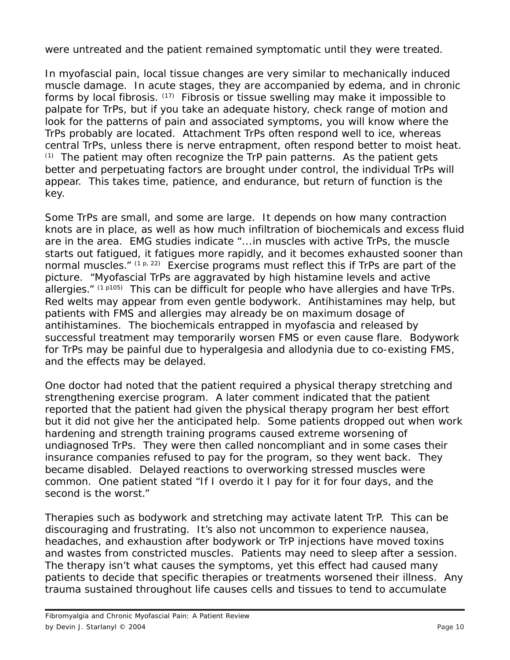were untreated and the patient remained symptomatic until they were treated.

In myofascial pain, local tissue changes are very similar to mechanically induced muscle damage. In acute stages, they are accompanied by edema, and in chronic forms by local fibrosis. (17) Fibrosis or tissue swelling may make it impossible to palpate for TrPs, but if you take an adequate history, check range of motion and look for the patterns of pain and associated symptoms, you will know where the TrPs probably are located. Attachment TrPs often respond well to ice, whereas central TrPs, unless there is nerve entrapment, often respond better to moist heat.  $(1)$  The patient may often recognize the TrP pain patterns. As the patient gets better and perpetuating factors are brought under control, the individual TrPs will appear. This takes time, patience, and endurance, but return of function is the key.

Some TrPs are small, and some are large. It depends on how many contraction knots are in place, as well as how much infiltration of biochemicals and excess fluid are in the area. EMG studies indicate "...in muscles with active TrPs, the muscle starts out fatigued, it fatigues more rapidly, and it becomes exhausted sooner than normal muscles."  $(1 p, 22)$  Exercise programs must reflect this if TrPs are part of the picture. "Myofascial TrPs are aggravated by high histamine levels and active allergies."  $(1 \text{ p105})$  This can be difficult for people who have allergies and have TrPs. Red welts may appear from even gentle bodywork. Antihistamines may help, but patients with FMS and allergies may already be on maximum dosage of antihistamines. The biochemicals entrapped in myofascia and released by successful treatment may temporarily worsen FMS or even cause flare. Bodywork for TrPs may be painful due to hyperalgesia and allodynia due to co-existing FMS, and the effects may be delayed.

One doctor had noted that the patient required a physical therapy stretching and strengthening exercise program. A later comment indicated that the patient reported that the patient had given the physical therapy program her best effort but it did not give her the anticipated help. Some patients dropped out when work hardening and strength training programs caused extreme worsening of undiagnosed TrPs. They were then called noncompliant and in some cases their insurance companies refused to pay for the program, so they went back. They became disabled. Delayed reactions to overworking stressed muscles were common. One patient stated "If I overdo it I pay for it for four days, and the second is the worst."

Therapies such as bodywork and stretching may activate latent TrP. This can be discouraging and frustrating. It's also not uncommon to experience nausea, headaches, and exhaustion after bodywork or TrP injections have moved toxins and wastes from constricted muscles. Patients may need to sleep after a session. The therapy isn't what causes the symptoms, yet this effect had caused many patients to decide that specific therapies or treatments worsened their illness. Any trauma sustained throughout life causes cells and tissues to tend to accumulate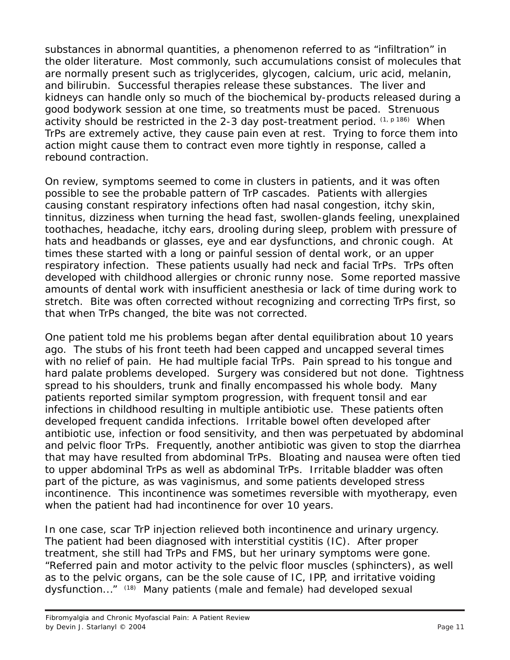substances in abnormal quantities, a phenomenon referred to as "infiltration" in the older literature. Most commonly, such accumulations consist of molecules that are normally present such as triglycerides, glycogen, calcium, uric acid, melanin, and bilirubin. Successful therapies release these substances. The liver and kidneys can handle only so much of the biochemical by-products released during a good bodywork session at one time, so treatments must be paced. Strenuous activity should be restricted in the 2-3 day post-treatment period.  $(1, p 186)$  When TrPs are extremely active, they cause pain even at rest. Trying to force them into action might cause them to contract even more tightly in response, called a rebound contraction.

On review, symptoms seemed to come in clusters in patients, and it was often possible to see the probable pattern of TrP cascades. Patients with allergies causing constant respiratory infections often had nasal congestion, itchy skin, tinnitus, dizziness when turning the head fast, swollen-glands feeling, unexplained toothaches, headache, itchy ears, drooling during sleep, problem with pressure of hats and headbands or glasses, eye and ear dysfunctions, and chronic cough. At times these started with a long or painful session of dental work, or an upper respiratory infection. These patients usually had neck and facial TrPs. TrPs often developed with childhood allergies or chronic runny nose. Some reported massive amounts of dental work with insufficient anesthesia or lack of time during work to stretch. Bite was often corrected without recognizing and correcting TrPs first, so that when TrPs changed, the bite was not corrected.

One patient told me his problems began after dental equilibration about 10 years ago. The stubs of his front teeth had been capped and uncapped several times with no relief of pain. He had multiple facial TrPs. Pain spread to his tongue and hard palate problems developed. Surgery was considered but not done. Tightness spread to his shoulders, trunk and finally encompassed his whole body. Many patients reported similar symptom progression, with frequent tonsil and ear infections in childhood resulting in multiple antibiotic use. These patients often developed frequent candida infections. Irritable bowel often developed after antibiotic use, infection or food sensitivity, and then was perpetuated by abdominal and pelvic floor TrPs. Frequently, another antibiotic was given to stop the diarrhea that may have resulted from abdominal TrPs. Bloating and nausea were often tied to upper abdominal TrPs as well as abdominal TrPs. Irritable bladder was often part of the picture, as was vaginismus, and some patients developed stress incontinence. This incontinence was sometimes reversible with myotherapy, even when the patient had had incontinence for over 10 years.

In one case, scar TrP injection relieved both incontinence and urinary urgency. The patient had been diagnosed with interstitial cystitis (IC). After proper treatment, she still had TrPs and FMS, but her urinary symptoms were gone. "Referred pain and motor activity to the pelvic floor muscles (sphincters), as well as to the pelvic organs, can be the sole cause of IC, IPP, and irritative voiding dysfunction..." (18) Many patients (male and female) had developed sexual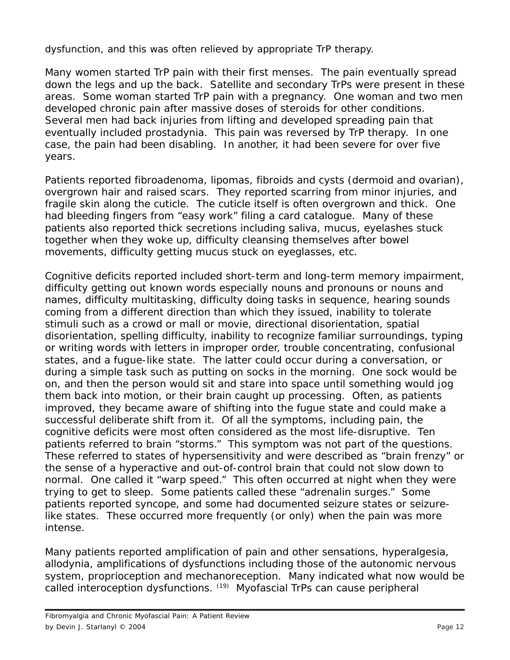dysfunction, and this was often relieved by appropriate TrP therapy.

Many women started TrP pain with their first menses. The pain eventually spread down the legs and up the back. Satellite and secondary TrPs were present in these areas. Some woman started TrP pain with a pregnancy. One woman and two men developed chronic pain after massive doses of steroids for other conditions. Several men had back injuries from lifting and developed spreading pain that eventually included prostadynia. This pain was reversed by TrP therapy. In one case, the pain had been disabling. In another, it had been severe for over five years.

Patients reported fibroadenoma, lipomas, fibroids and cysts (dermoid and ovarian), overgrown hair and raised scars. They reported scarring from minor injuries, and fragile skin along the cuticle. The cuticle itself is often overgrown and thick. One had bleeding fingers from "easy work" filing a card catalogue. Many of these patients also reported thick secretions including saliva, mucus, eyelashes stuck together when they woke up, difficulty cleansing themselves after bowel movements, difficulty getting mucus stuck on eyeglasses, etc.

Cognitive deficits reported included short-term and long-term memory impairment, difficulty getting out known words especially nouns and pronouns or nouns and names, difficulty multitasking, difficulty doing tasks in sequence, hearing sounds coming from a different direction than which they issued, inability to tolerate stimuli such as a crowd or mall or movie, directional disorientation, spatial disorientation, spelling difficulty, inability to recognize familiar surroundings, typing or writing words with letters in improper order, trouble concentrating, confusional states, and a fugue-like state. The latter could occur during a conversation, or during a simple task such as putting on socks in the morning. One sock would be on, and then the person would sit and stare into space until something would jog them back into motion, or their brain caught up processing. Often, as patients improved, they became aware of shifting into the fugue state and could make a successful deliberate shift from it. Of all the symptoms, including pain, the cognitive deficits were most often considered as the most life-disruptive. Ten patients referred to brain "storms." This symptom was not part of the questions. These referred to states of hypersensitivity and were described as "brain frenzy" or the sense of a hyperactive and out-of-control brain that could not slow down to normal. One called it "warp speed." This often occurred at night when they were trying to get to sleep. Some patients called these "adrenalin surges." Some patients reported syncope, and some had documented seizure states or seizurelike states. These occurred more frequently (or only) when the pain was more intense.

Many patients reported amplification of pain and other sensations, hyperalgesia, allodynia, amplifications of dysfunctions including those of the autonomic nervous system, proprioception and mechanoreception. Many indicated what now would be called interoception dysfunctions. (19) Myofascial TrPs can cause peripheral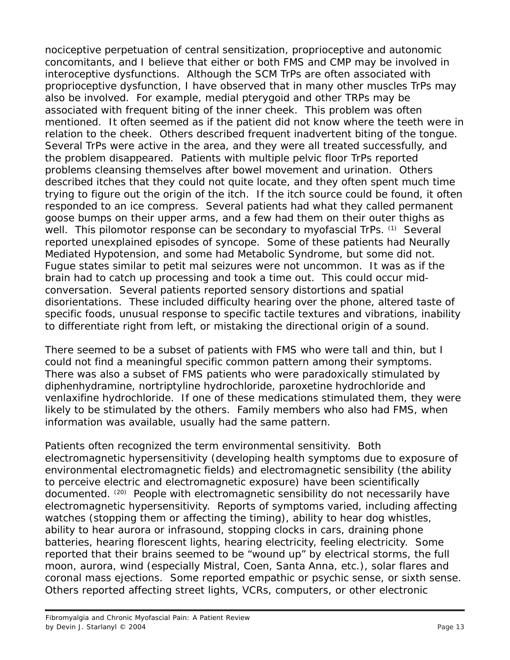nociceptive perpetuation of central sensitization, proprioceptive and autonomic concomitants, and I believe that either or both FMS and CMP may be involved in interoceptive dysfunctions. Although the SCM TrPs are often associated with proprioceptive dysfunction, I have observed that in many other muscles TrPs may also be involved. For example, medial pterygoid and other TRPs may be associated with frequent biting of the inner cheek. This problem was often mentioned. It often seemed as if the patient did not know where the teeth were in relation to the cheek. Others described frequent inadvertent biting of the tongue. Several TrPs were active in the area, and they were all treated successfully, and the problem disappeared. Patients with multiple pelvic floor TrPs reported problems cleansing themselves after bowel movement and urination. Others described itches that they could not quite locate, and they often spent much time trying to figure out the origin of the itch. If the itch source could be found, it often responded to an ice compress. Several patients had what they called permanent goose bumps on their upper arms, and a few had them on their outer thighs as well. This pilomotor response can be secondary to myofascial TrPs. (1) Several reported unexplained episodes of syncope. Some of these patients had Neurally Mediated Hypotension, and some had Metabolic Syndrome, but some did not. Fugue states similar to petit mal seizures were not uncommon. It was as if the brain had to catch up processing and took a time out. This could occur midconversation. Several patients reported sensory distortions and spatial disorientations. These included difficulty hearing over the phone, altered taste of specific foods, unusual response to specific tactile textures and vibrations, inability to differentiate right from left, or mistaking the directional origin of a sound.

There seemed to be a subset of patients with FMS who were tall and thin, but I could not find a meaningful specific common pattern among their symptoms. There was also a subset of FMS patients who were paradoxically stimulated by diphenhydramine, nortriptyline hydrochloride, paroxetine hydrochloride and venlaxifine hydrochloride. If one of these medications stimulated them, they were likely to be stimulated by the others. Family members who also had FMS, when information was available, usually had the same pattern.

Patients often recognized the term environmental sensitivity. Both electromagnetic hypersensitivity (developing health symptoms due to exposure of environmental electromagnetic fields) and electromagnetic sensibility (the ability to perceive electric and electromagnetic exposure) have been scientifically documented. (20) People with electromagnetic sensibility do not necessarily have electromagnetic hypersensitivity. Reports of symptoms varied, including affecting watches (stopping them or affecting the timing), ability to hear dog whistles, ability to hear aurora or infrasound, stopping clocks in cars, draining phone batteries, hearing florescent lights, hearing electricity, feeling electricity. Some reported that their brains seemed to be "wound up" by electrical storms, the full moon, aurora, wind (especially Mistral, Coen, Santa Anna, etc.), solar flares and coronal mass ejections. Some reported empathic or psychic sense, or sixth sense. Others reported affecting street lights, VCRs, computers, or other electronic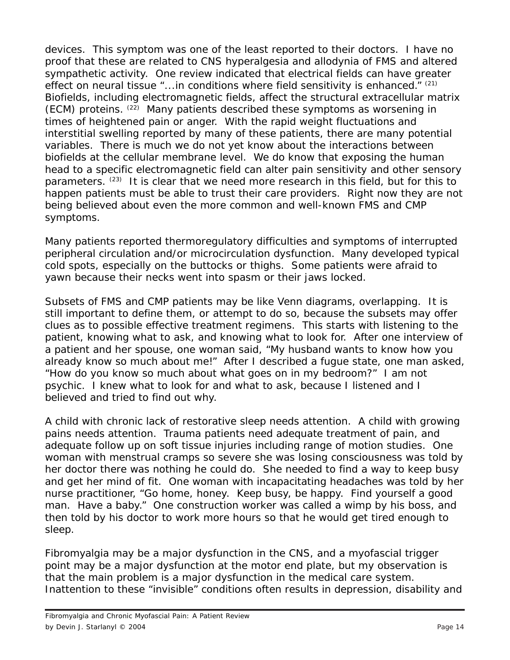devices. This symptom was one of the least reported to their doctors. I have no proof that these are related to CNS hyperalgesia and allodynia of FMS and altered sympathetic activity. One review indicated that electrical fields can have greater effect on neural tissue "...in conditions where field sensitivity is enhanced." (21) Biofields, including electromagnetic fields, affect the structural extracellular matrix (ECM) proteins. (22) Many patients described these symptoms as worsening in times of heightened pain or anger. With the rapid weight fluctuations and interstitial swelling reported by many of these patients, there are many potential variables. There is much we do not yet know about the interactions between biofields at the cellular membrane level. We do know that exposing the human head to a specific electromagnetic field can alter pain sensitivity and other sensory parameters.  $(23)$  It is clear that we need more research in this field, but for this to happen patients must be able to trust their care providers. Right now they are not being believed about even the more common and well-known FMS and CMP symptoms.

Many patients reported thermoregulatory difficulties and symptoms of interrupted peripheral circulation and/or microcirculation dysfunction. Many developed typical cold spots, especially on the buttocks or thighs. Some patients were afraid to yawn because their necks went into spasm or their jaws locked.

Subsets of FMS and CMP patients may be like Venn diagrams, overlapping. It is still important to define them, or attempt to do so, because the subsets may offer clues as to possible effective treatment regimens. This starts with listening to the patient, knowing what to ask, and knowing what to look for. After one interview of a patient and her spouse, one woman said, "My husband wants to know how you already know so much about me!" After I described a fugue state, one man asked, "How do you know so much about what goes on in my bedroom?" I am not psychic. I knew what to look for and what to ask, because I listened and I believed and tried to find out why.

A child with chronic lack of restorative sleep needs attention. A child with growing pains needs attention. Trauma patients need adequate treatment of pain, and adequate follow up on soft tissue injuries including range of motion studies. One woman with menstrual cramps so severe she was losing consciousness was told by her doctor there was nothing he could do. She needed to find a way to keep busy and get her mind of fit. One woman with incapacitating headaches was told by her nurse practitioner, "Go home, honey. Keep busy, be happy. Find yourself a good man. Have a baby." One construction worker was called a wimp by his boss, and then told by his doctor to work more hours so that he would get tired enough to sleep.

Fibromyalgia may be a major dysfunction in the CNS, and a myofascial trigger point may be a major dysfunction at the motor end plate, but my observation is that the main problem is a major dysfunction in the medical care system. Inattention to these "invisible" conditions often results in depression, disability and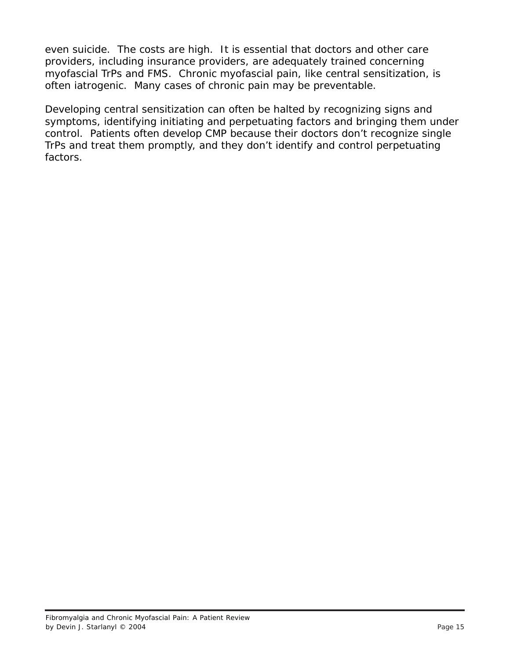even suicide. The costs are high. It is essential that doctors and other care providers, including insurance providers, are adequately trained concerning myofascial TrPs and FMS. Chronic myofascial pain, like central sensitization, is often iatrogenic. Many cases of chronic pain may be preventable.

Developing central sensitization can often be halted by recognizing signs and symptoms, identifying initiating and perpetuating factors and bringing them under control. Patients often develop CMP because their doctors don't recognize single TrPs and treat them promptly, and they don't identify and control perpetuating factors.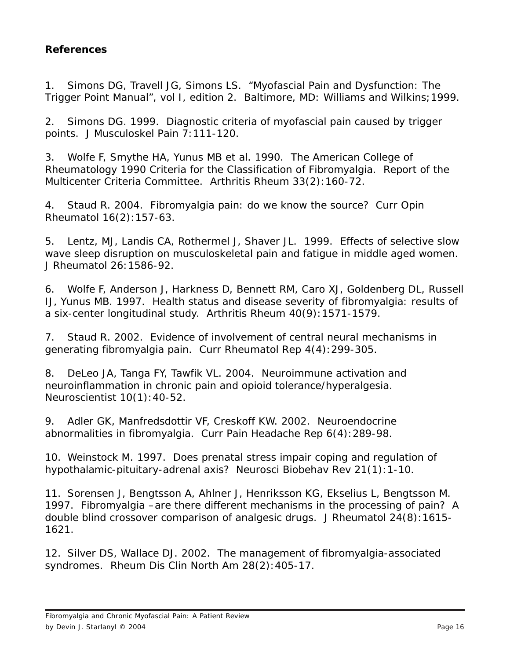## **References**

1. Simons DG, Travell JG, Simons LS. *"Myofascial Pain and Dysfunction: The Trigger Point Manual", vol I, edition 2*. Baltimore, MD: Williams and Wilkins;1999.

2. Simons DG. 1999. Diagnostic criteria of myofascial pain caused by trigger points. *J Musculoskel Pain* 7:111-120.

3. Wolfe F, Smythe HA, Yunus MB et al. 1990. The American College of Rheumatology 1990 Criteria for the Classification of Fibromyalgia. Report of the Multicenter Criteria Committee. *Arthritis Rheum* 33(2):160-72.

4. Staud R. 2004. Fibromyalgia pain: do we know the source? *Curr Opin Rheumatol* 16(2):157-63.

5. Lentz, MJ, Landis CA, Rothermel J, Shaver JL. 1999. Effects of selective slow wave sleep disruption on musculoskeletal pain and fatigue in middle aged women. *J Rheumatol* 26:1586-92.

6. Wolfe F, Anderson J, Harkness D, Bennett RM, Caro XJ, Goldenberg DL, Russell IJ, Yunus MB. 1997. Health status and disease severity of fibromyalgia: results of a six-center longitudinal study. *Arthritis Rheum* 40(9):1571-1579.

7. Staud R. 2002. Evidence of involvement of central neural mechanisms in generating fibromyalgia pain. *Curr Rheumatol Rep* 4(4):299-305.

8. DeLeo JA, Tanga FY, Tawfik VL. 2004. Neuroimmune activation and neuroinflammation in chronic pain and opioid tolerance/hyperalgesia. *Neuroscientist* 10(1):40-52.

9. Adler GK, Manfredsdottir VF, Creskoff KW. 2002. Neuroendocrine abnormalities in fibromyalgia. *Curr Pain Headache Rep* 6(4):289-98.

10. Weinstock M. 1997. Does prenatal stress impair coping and regulation of hypothalamic-pituitary-adrenal axis? *Neurosci Biobehav Rev* 21(1):1-10.

11. Sorensen J, Bengtsson A, Ahlner J, Henriksson KG, Ekselius L, Bengtsson M. 1997. Fibromyalgia –are there different mechanisms in the processing of pain? A double blind crossover comparison of analgesic drugs. *J Rheumatol* 24(8):1615- 1621.

12. Silver DS, Wallace DJ. 2002. The management of fibromyalgia-associated syndromes. *Rheum Dis Clin North Am* 28(2):405-17.